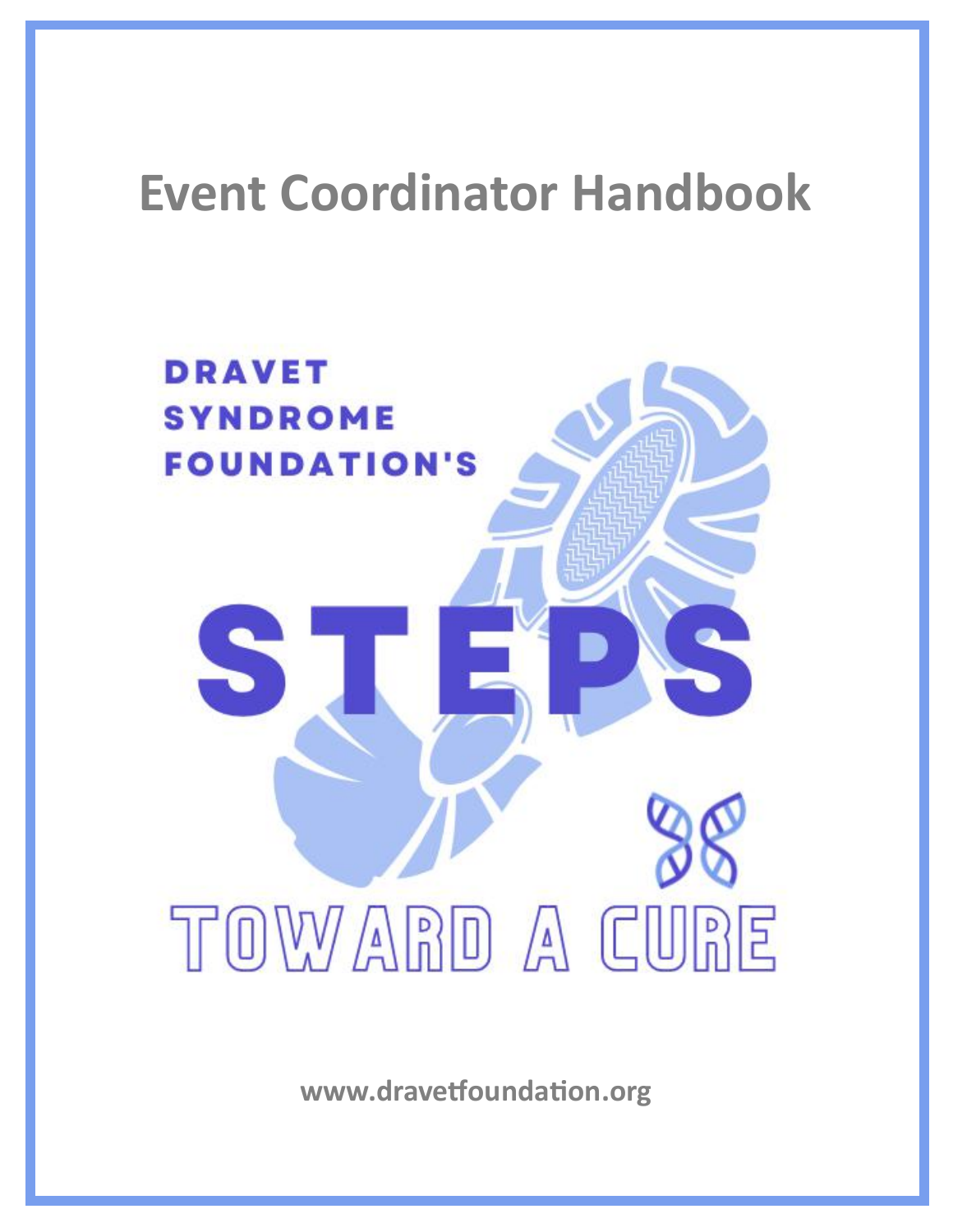# **Event Coordinator Handbook**



**www.dravetfoundation.org**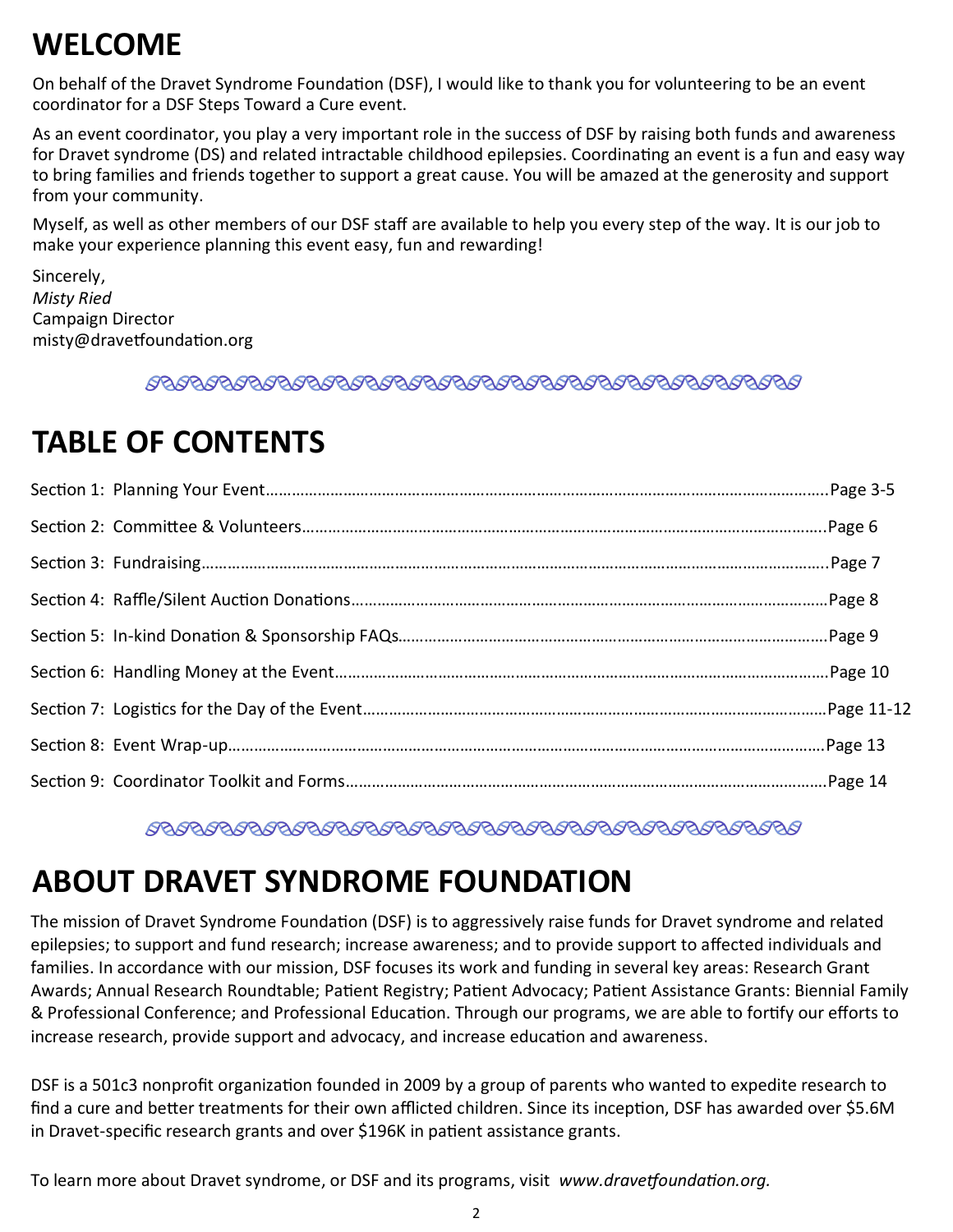## **WELCOME**

On behalf of the Dravet Syndrome Foundation (DSF), I would like to thank you for volunteering to be an event coordinator for a DSF Steps Toward a Cure event.

As an event coordinator, you play a very important role in the success of DSF by raising both funds and awareness for Dravet syndrome (DS) and related intractable childhood epilepsies. Coordinating an event is a fun and easy way to bring families and friends together to support a great cause. You will be amazed at the generosity and support from your community.

Myself, as well as other members of our DSF staff are available to help you every step of the way. It is our job to make your experience planning this event easy, fun and rewarding!

Sincerely, *Misty Ried* Campaign Director misty@dravetfoundation.org

## **TABLE OF CONTENTS**

## **ABOUT DRAVET SYNDROME FOUNDATION**

The mission of Dravet Syndrome Foundation (DSF) is to aggressively raise funds for Dravet syndrome and related epilepsies; to support and fund research; increase awareness; and to provide support to affected individuals and families. In accordance with our mission, DSF focuses its work and funding in several key areas: Research Grant Awards; Annual Research Roundtable; Patient Registry; Patient Advocacy; Patient Assistance Grants: Biennial Family & Professional Conference; and Professional Education. Through our programs, we are able to fortify our efforts to increase research, provide support and advocacy, and increase education and awareness.

DSF is a 501c3 nonprofit organization founded in 2009 by a group of parents who wanted to expedite research to find a cure and better treatments for their own afflicted children. Since its inception, DSF has awarded over \$5.6M in Dravet-specific research grants and over \$196K in patient assistance grants.

To learn more about Dravet syndrome, or DSF and its programs, visit *www.dravetfoundation.org.*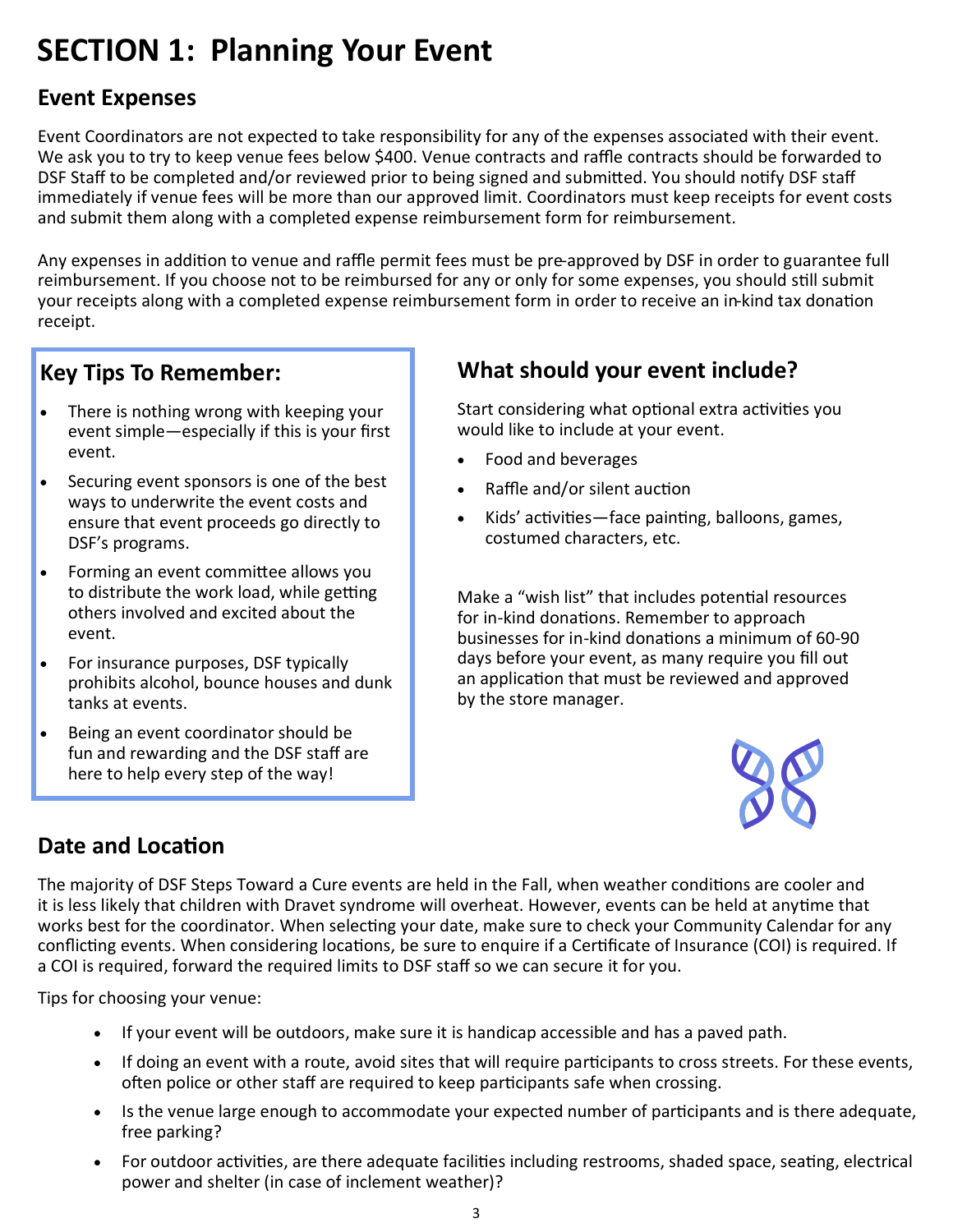## **SECTION 1: Planning Your Event**

### **Event Expenses**

Event Coordinators are not expected to take responsibility for any of the expenses associated with their event. We ask you to try to keep venue fees below \$400. Venue contracts and raffle contracts should be forwarded to DSF Staff to be completed and/or reviewed prior to being signed and submitted. You should notify DSF staff immediately if venue fees will be more than our approved limit. Coordinators must keep receipts for event costs and submit them along with a completed expense reimbursement form for reimbursement.

Any expenses in addition to venue and raffle permit fees must be pre-approved by DSF in order to guarantee full reimbursement. If you choose not to be reimbursed for any or only for some expenses, you should still submit your receipts along with a completed expense reimbursement form in order to receive an in-kind tax donation receipt.

### **Key Tips To Remember:**

- There is nothing wrong with keeping your event simple—especially if this is your first event.
- Securing event sponsors is one of the best ways to underwrite the event costs and ensure that event proceeds go directly to DSF's programs.
- Forming an event committee allows you to distribute the work load, while getting others involved and excited about the event.
- For insurance purposes, DSF typically prohibits alcohol, bounce houses and dunk tanks at events.
- Being an event coordinator should be fun and rewarding and the DSF staff are here to help every step of the way!

## **What should your event include?**

Start considering what optional extra activities you would like to include at your event.

- Food and beverages
- Raffle and/or silent auction
- Kids' activities—face painting, balloons, games, costumed characters, etc.

Make a "wish list" that includes potential resources for in-kind donations. Remember to approach businesses for in-kind donations a minimum of 60-90 days before your event, as many require you fill out an application that must be reviewed and approved by the store manager.



## **Date and Location**

The majority of DSF Steps Toward a Cure events are held in the Fall, when weather conditions are cooler and it is less likely that children with Dravet syndrome will overheat. However, events can be held at anytime that works best for the coordinator. When selecting your date, make sure to check your Community Calendar for any conflicting events. When considering locations, be sure to enquire if a Certificate of Insurance (COI) is required. If a COI is required, forward the required limits to DSF staff so we can secure it for you.

Tips for choosing your venue:

- If your event will be outdoors, make sure it is handicap accessible and has a paved path.
- If doing an event with a route, avoid sites that will require participants to cross streets. For these events, often police or other staff are required to keep participants safe when crossing.
- Is the venue large enough to accommodate your expected number of participants and is there adequate, free parking?
- For outdoor activities, are there adequate facilities including restrooms, shaded space, seating, electrical power and shelter (in case of inclement weather)?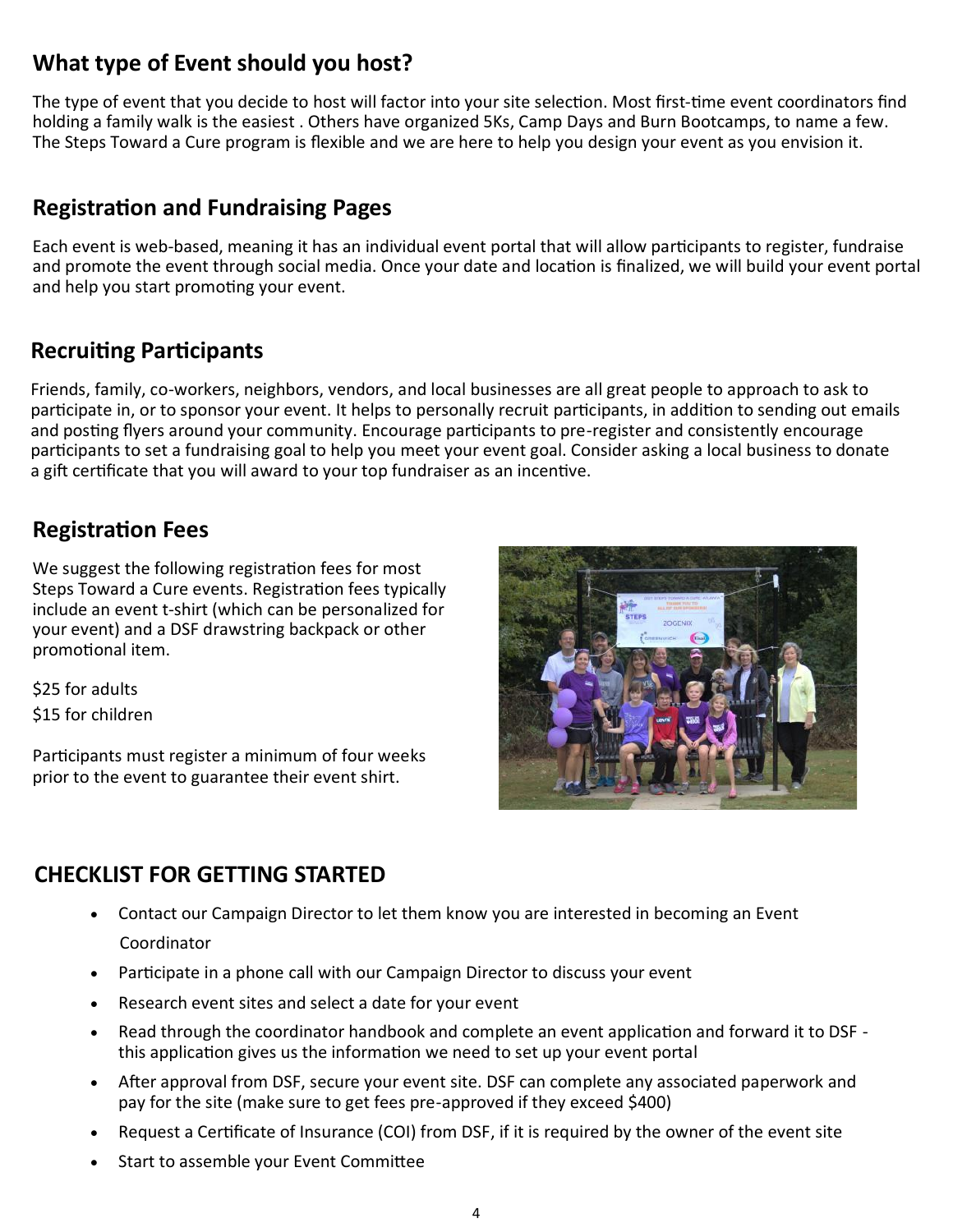### **What type of Event should you host?**

The type of event that you decide to host will factor into your site selection. Most first-time event coordinators find holding a family walk is the easiest . Others have organized 5Ks, Camp Days and Burn Bootcamps, to name a few. The Steps Toward a Cure program is flexible and we are here to help you design your event as you envision it.

### **Registration and Fundraising Pages**

Each event is web-based, meaning it has an individual event portal that will allow participants to register, fundraise and promote the event through social media. Once your date and location is finalized, we will build your event portal and help you start promoting your event.

### **Recruiting Participants**

Friends, family, co-workers, neighbors, vendors, and local businesses are all great people to approach to ask to participate in, or to sponsor your event. It helps to personally recruit participants, in addition to sending out emails and posting flyers around your community. Encourage participants to pre-register and consistently encourage participants to set a fundraising goal to help you meet your event goal. Consider asking a local business to donate a gift certificate that you will award to your top fundraiser as an incentive.

### **Registration Fees**

We suggest the following registration fees for most Steps Toward a Cure events. Registration fees typically include an event t-shirt (which can be personalized for your event) and a DSF drawstring backpack or other promotional item.

\$25 for adults \$15 for children

Participants must register a minimum of four weeks prior to the event to guarantee their event shirt.



### **CHECKLIST FOR GETTING STARTED**

- Contact our Campaign Director to let them know you are interested in becoming an Event Coordinator
- Participate in a phone call with our Campaign Director to discuss your event
- Research event sites and select a date for your event
- Read through the coordinator handbook and complete an event application and forward it to DSF this application gives us the information we need to set up your event portal
- After approval from DSF, secure your event site. DSF can complete any associated paperwork and pay for the site (make sure to get fees pre-approved if they exceed \$400)
- Request a Certificate of Insurance (COI) from DSF, if it is required by the owner of the event site
- Start to assemble your Event Committee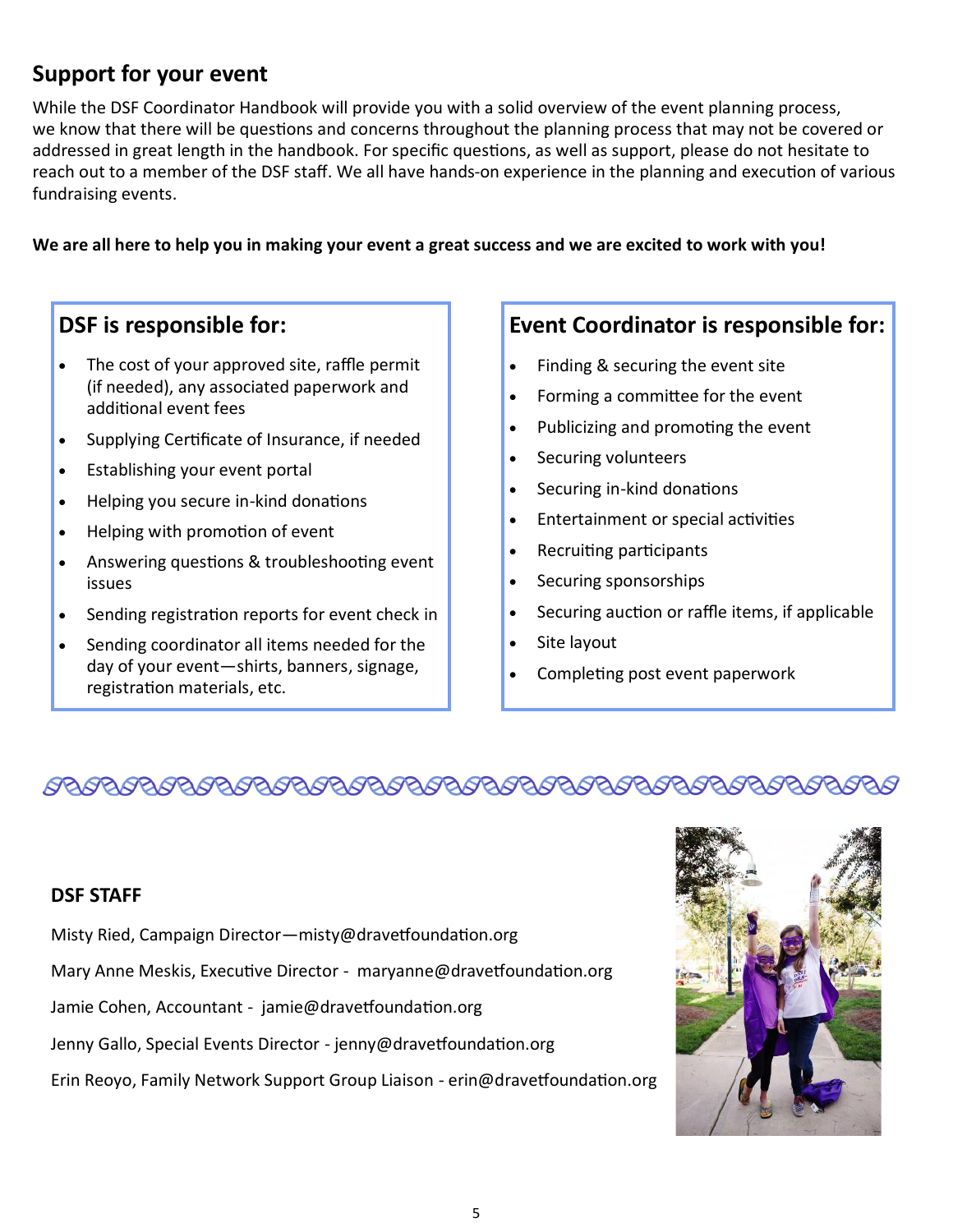## **Support for your event**

While the DSF Coordinator Handbook will provide you with a solid overview of the event planning process, we know that there will be questions and concerns throughout the planning process that may not be covered or addressed in great length in the handbook. For specific questions, as well as support, please do not hesitate to reach out to a member of the DSF staff. We all have hands-on experience in the planning and execution of various fundraising events.

#### **We are all here to help you in making your event a great success and we are excited to work with you!**

### **DSF is responsible for:**

- The cost of your approved site, raffle permit (if needed), any associated paperwork and additional event fees
- Supplying Certificate of Insurance, if needed
- Establishing your event portal
- Helping you secure in-kind donations
- Helping with promotion of event
- Answering questions & troubleshooting event issues
- Sending registration reports for event check in
- Sending coordinator all items needed for the day of your event—shirts, banners, signage, registration materials, etc.

### **Event Coordinator is responsible for:**

- Finding & securing the event site
- Forming a committee for the event
- Publicizing and promoting the event
- Securing volunteers
- Securing in-kind donations
- Entertainment or special activities
- Recruiting participants
- Securing sponsorships
- Securing auction or raffle items, if applicable
- Site layout
- Completing post event paperwork

## 

#### **DSF STAFF**

- Misty Ried, Campaign Director—misty@dravetfoundation.org
- Mary Anne Meskis, Executive Director maryanne@dravetfoundation.org
- Jamie Cohen, Accountant jamie@dravetfoundation.org
- Jenny Gallo, Special Events Director jenny@dravetfoundation.org
- Erin Reoyo, Family Network Support Group Liaison erin@dravetfoundation.org

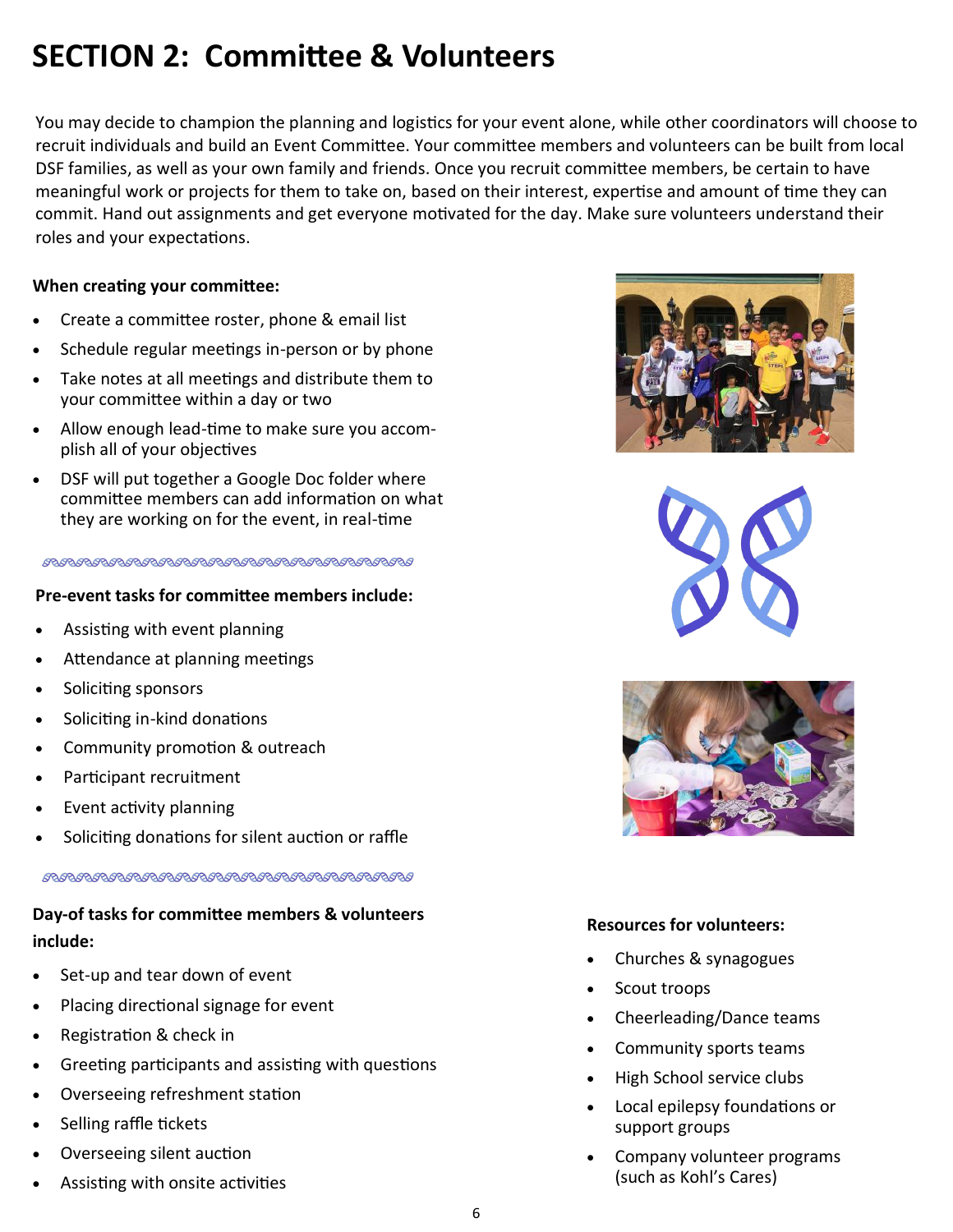## **SECTION 2: Committee & Volunteers**

You may decide to champion the planning and logistics for your event alone, while other coordinators will choose to recruit individuals and build an Event Committee. Your committee members and volunteers can be built from local DSF families, as well as your own family and friends. Once you recruit committee members, be certain to have meaningful work or projects for them to take on, based on their interest, expertise and amount of time they can commit. Hand out assignments and get everyone motivated for the day. Make sure volunteers understand their roles and your expectations.

#### **When creating your committee:**

- Create a committee roster, phone & email list
- Schedule regular meetings in-person or by phone
- Take notes at all meetings and distribute them to your committee within a day or two
- Allow enough lead-time to make sure you accomplish all of your objectives
- DSF will put together a Google Doc folder where committee members can add information on what they are working on for the event, in real-time

#### 

#### **Pre-event tasks for committee members include:**

- Assisting with event planning
- Attendance at planning meetings
- Soliciting sponsors
- Soliciting in-kind donations
- Community promotion & outreach
- Participant recruitment
- Event activity planning
- Soliciting donations for silent auction or raffle

### **Day-of tasks for committee members & volunteers include:**

- Set-up and tear down of event
- Placing directional signage for event
- Registration & check in
- Greeting participants and assisting with questions
- Overseeing refreshment station
- Selling raffle tickets
- Overseeing silent auction
- Assisting with onsite activities







#### **Resources for volunteers:**

- Churches & synagogues
- Scout troops
- Cheerleading/Dance teams
- Community sports teams
- High School service clubs
- Local epilepsy foundations or support groups
- Company volunteer programs (such as Kohl's Cares)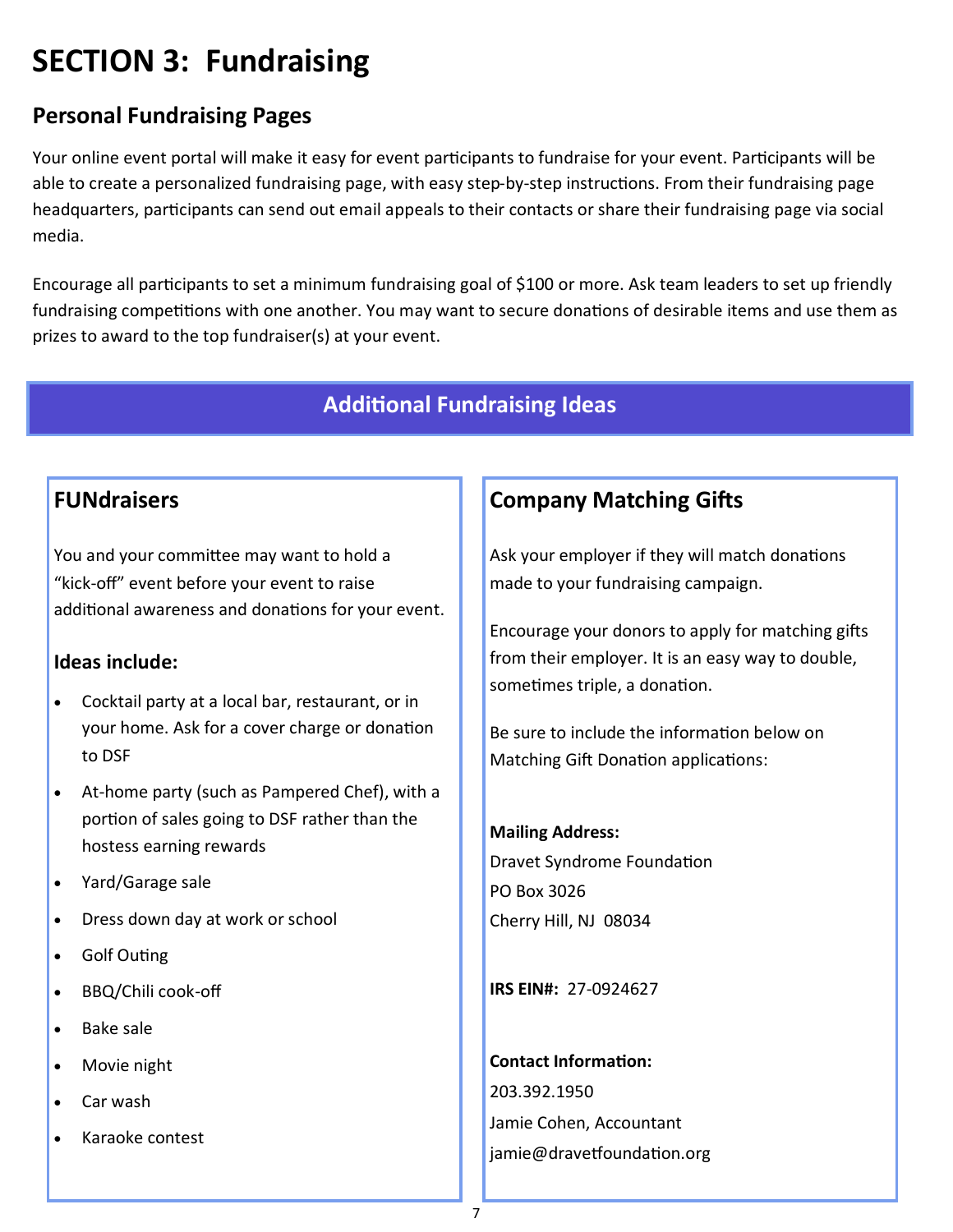## **SECTION 3: Fundraising**

## **Personal Fundraising Pages**

Your online event portal will make it easy for event participants to fundraise for your event. Participants will be able to create a personalized fundraising page, with easy step-by-step instructions. From their fundraising page headquarters, participants can send out email appeals to their contacts or share their fundraising page via social media.

Encourage all participants to set a minimum fundraising goal of \$100 or more. Ask team leaders to set up friendly fundraising competitions with one another. You may want to secure donations of desirable items and use them as prizes to award to the top fundraiser(s) at your event.

### **Additional Fundraising Ideas**

### **FUNdraisers**

You and your committee may want to hold a "kick-off" event before your event to raise additional awareness and donations for your event.

### **Ideas include:**

- Cocktail party at a local bar, restaurant, or in your home. Ask for a cover charge or donation to DSF
- At-home party (such as Pampered Chef), with a portion of sales going to DSF rather than the hostess earning rewards
- Yard/Garage sale
- Dress down day at work or school
- Golf Outing
- BBQ/Chili cook-off
- Bake sale
- Movie night
- Car wash
- Karaoke contest

## **Company Matching Gifts**

Ask your employer if they will match donations made to your fundraising campaign.

Encourage your donors to apply for matching gifts from their employer. It is an easy way to double, sometimes triple, a donation.

Be sure to include the information below on Matching Gift Donation applications:

#### **Mailing Address:**

Dravet Syndrome Foundation PO Box 3026 Cherry Hill, NJ 08034

**IRS EIN#:** 27-0924627

**Contact Information:** 203.392.1950 Jamie Cohen, Accountant jamie@dravetfoundation.org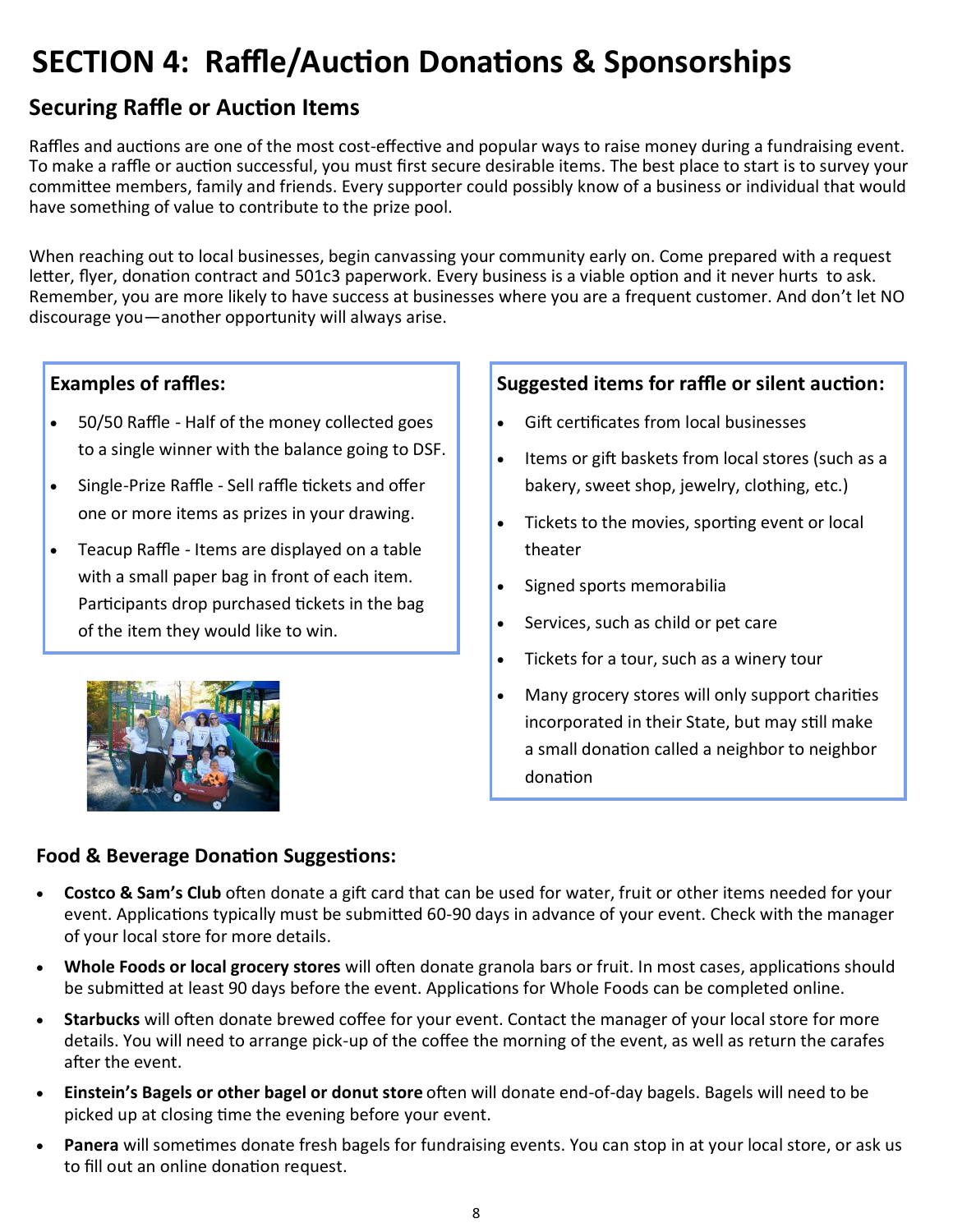## **SECTION 4: Raffle/Auction Donations & Sponsorships**

## **Securing Raffle or Auction Items**

Raffles and auctions are one of the most cost-effective and popular ways to raise money during a fundraising event. To make a raffle or auction successful, you must first secure desirable items. The best place to start is to survey your committee members, family and friends. Every supporter could possibly know of a business or individual that would have something of value to contribute to the prize pool.

When reaching out to local businesses, begin canvassing your community early on. Come prepared with a request letter, flyer, donation contract and 501c3 paperwork. Every business is a viable option and it never hurts to ask. Remember, you are more likely to have success at businesses where you are a frequent customer. And don't let NO discourage you—another opportunity will always arise.

### **Examples of raffles:**

- 50/50 Raffle Half of the money collected goes to a single winner with the balance going to DSF.
- Single-Prize Raffle Sell raffle tickets and offer one or more items as prizes in your drawing.
- Teacup Raffle Items are displayed on a table with a small paper bag in front of each item. Participants drop purchased tickets in the bag of the item they would like to win.



### **Suggested items for raffle or silent auction:**

- Gift certificates from local businesses
- Items or gift baskets from local stores (such as a bakery, sweet shop, jewelry, clothing, etc.)
- Tickets to the movies, sporting event or local theater
- Signed sports memorabilia
- Services, such as child or pet care
- Tickets for a tour, such as a winery tour
- Many grocery stores will only support charities incorporated in their State, but may still make a small donation called a neighbor to neighbor donation

### **Food & Beverage Donation Suggestions:**

- **Costco & Sam's Club** often donate a gift card that can be used for water, fruit or other items needed for your event. Applications typically must be submitted 60-90 days in advance of your event. Check with the manager of your local store for more details.
- **Whole Foods or local grocery stores** will often donate granola bars or fruit. In most cases, applications should be submitted at least 90 days before the event. Applications for Whole Foods can be completed online.
- **Starbucks** will often donate brewed coffee for your event. Contact the manager of your local store for more details. You will need to arrange pick-up of the coffee the morning of the event, as well as return the carafes after the event.
- **Einstein's Bagels or other bagel or donut store** often will donate end-of-day bagels. Bagels will need to be picked up at closing time the evening before your event.
- **Panera** will sometimes donate fresh bagels for fundraising events. You can stop in at your local store, or ask us to fill out an online donation request.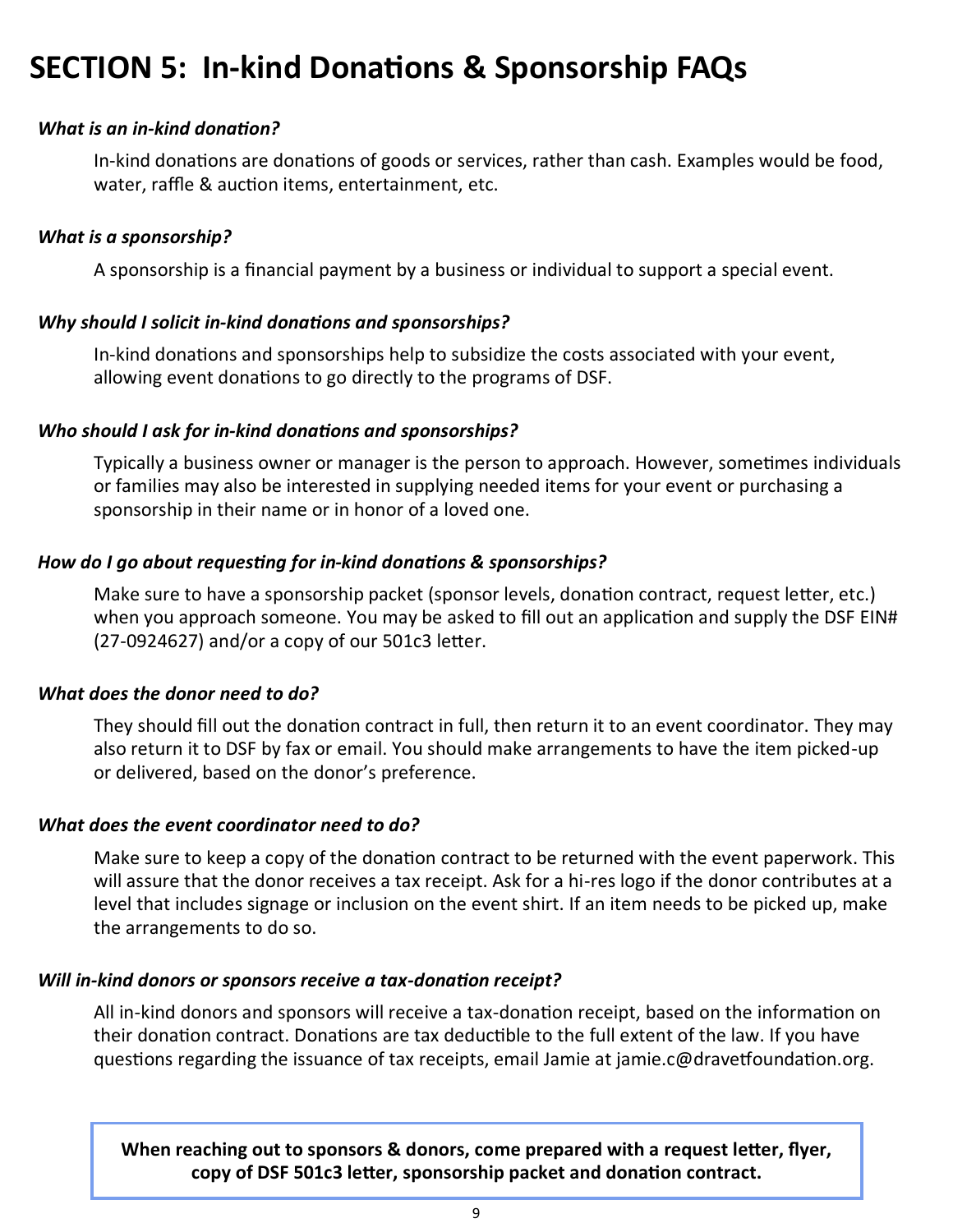## **SECTION 5: In-kind Donations & Sponsorship FAQs**

### *What is an in-kind donation?*

In-kind donations are donations of goods or services, rather than cash. Examples would be food, water, raffle & auction items, entertainment, etc.

#### *What is a sponsorship?*

A sponsorship is a financial payment by a business or individual to support a special event.

### *Why should I solicit in-kind donations and sponsorships?*

In-kind donations and sponsorships help to subsidize the costs associated with your event, allowing event donations to go directly to the programs of DSF.

### *Who should I ask for in-kind donations and sponsorships?*

Typically a business owner or manager is the person to approach. However, sometimes individuals or families may also be interested in supplying needed items for your event or purchasing a sponsorship in their name or in honor of a loved one.

### *How do I go about requesting for in-kind donations & sponsorships?*

Make sure to have a sponsorship packet (sponsor levels, donation contract, request letter, etc.) when you approach someone. You may be asked to fill out an application and supply the DSF EIN# (27-0924627) and/or a copy of our 501c3 letter.

#### *What does the donor need to do?*

They should fill out the donation contract in full, then return it to an event coordinator. They may also return it to DSF by fax or email. You should make arrangements to have the item picked-up or delivered, based on the donor's preference.

#### *What does the event coordinator need to do?*

Make sure to keep a copy of the donation contract to be returned with the event paperwork. This will assure that the donor receives a tax receipt. Ask for a hi-res logo if the donor contributes at a level that includes signage or inclusion on the event shirt. If an item needs to be picked up, make the arrangements to do so.

#### *Will in-kind donors or sponsors receive a tax-donation receipt?*

All in-kind donors and sponsors will receive a tax-donation receipt, based on the information on their donation contract. Donations are tax deductible to the full extent of the law. If you have questions regarding the issuance of tax receipts, email Jamie at jamie.c@dravetfoundation.org.

**When reaching out to sponsors & donors, come prepared with a request letter, flyer, copy of DSF 501c3 letter, sponsorship packet and donation contract.**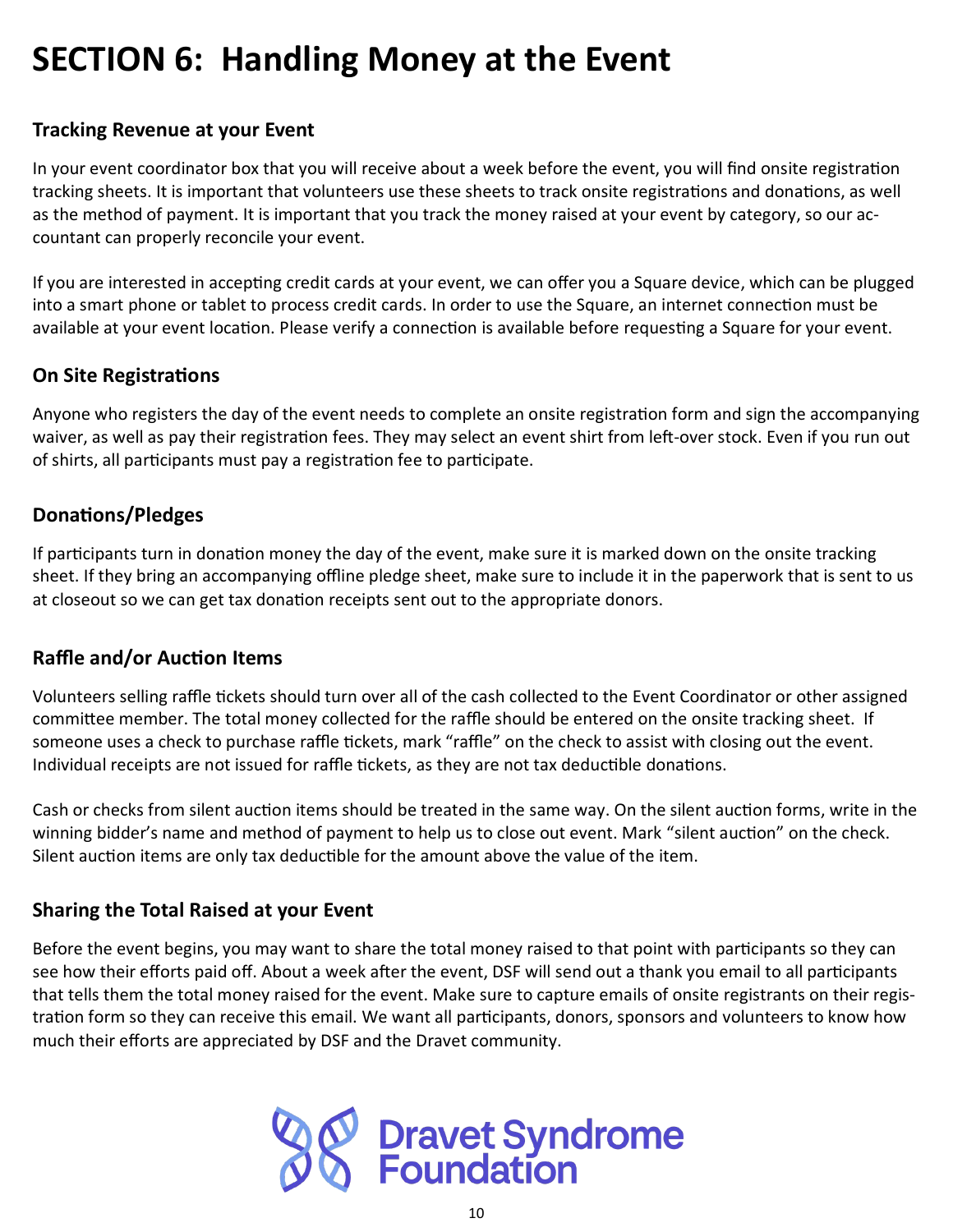## **SECTION 6: Handling Money at the Event**

### **Tracking Revenue at your Event**

In your event coordinator box that you will receive about a week before the event, you will find onsite registration tracking sheets. It is important that volunteers use these sheets to track onsite registrations and donations, as well as the method of payment. It is important that you track the money raised at your event by category, so our accountant can properly reconcile your event.

If you are interested in accepting credit cards at your event, we can offer you a Square device, which can be plugged into a smart phone or tablet to process credit cards. In order to use the Square, an internet connection must be available at your event location. Please verify a connection is available before requesting a Square for your event.

### **On Site Registrations**

Anyone who registers the day of the event needs to complete an onsite registration form and sign the accompanying waiver, as well as pay their registration fees. They may select an event shirt from left-over stock. Even if you run out of shirts, all participants must pay a registration fee to participate.

### **Donations/Pledges**

If participants turn in donation money the day of the event, make sure it is marked down on the onsite tracking sheet. If they bring an accompanying offline pledge sheet, make sure to include it in the paperwork that is sent to us at closeout so we can get tax donation receipts sent out to the appropriate donors.

### **Raffle and/or Auction Items**

Volunteers selling raffle tickets should turn over all of the cash collected to the Event Coordinator or other assigned committee member. The total money collected for the raffle should be entered on the onsite tracking sheet. If someone uses a check to purchase raffle tickets, mark "raffle" on the check to assist with closing out the event. Individual receipts are not issued for raffle tickets, as they are not tax deductible donations.

Cash or checks from silent auction items should be treated in the same way. On the silent auction forms, write in the winning bidder's name and method of payment to help us to close out event. Mark "silent auction" on the check. Silent auction items are only tax deductible for the amount above the value of the item.

### **Sharing the Total Raised at your Event**

Before the event begins, you may want to share the total money raised to that point with participants so they can see how their efforts paid off. About a week after the event, DSF will send out a thank you email to all participants that tells them the total money raised for the event. Make sure to capture emails of onsite registrants on their registration form so they can receive this email. We want all participants, donors, sponsors and volunteers to know how much their efforts are appreciated by DSF and the Dravet community.

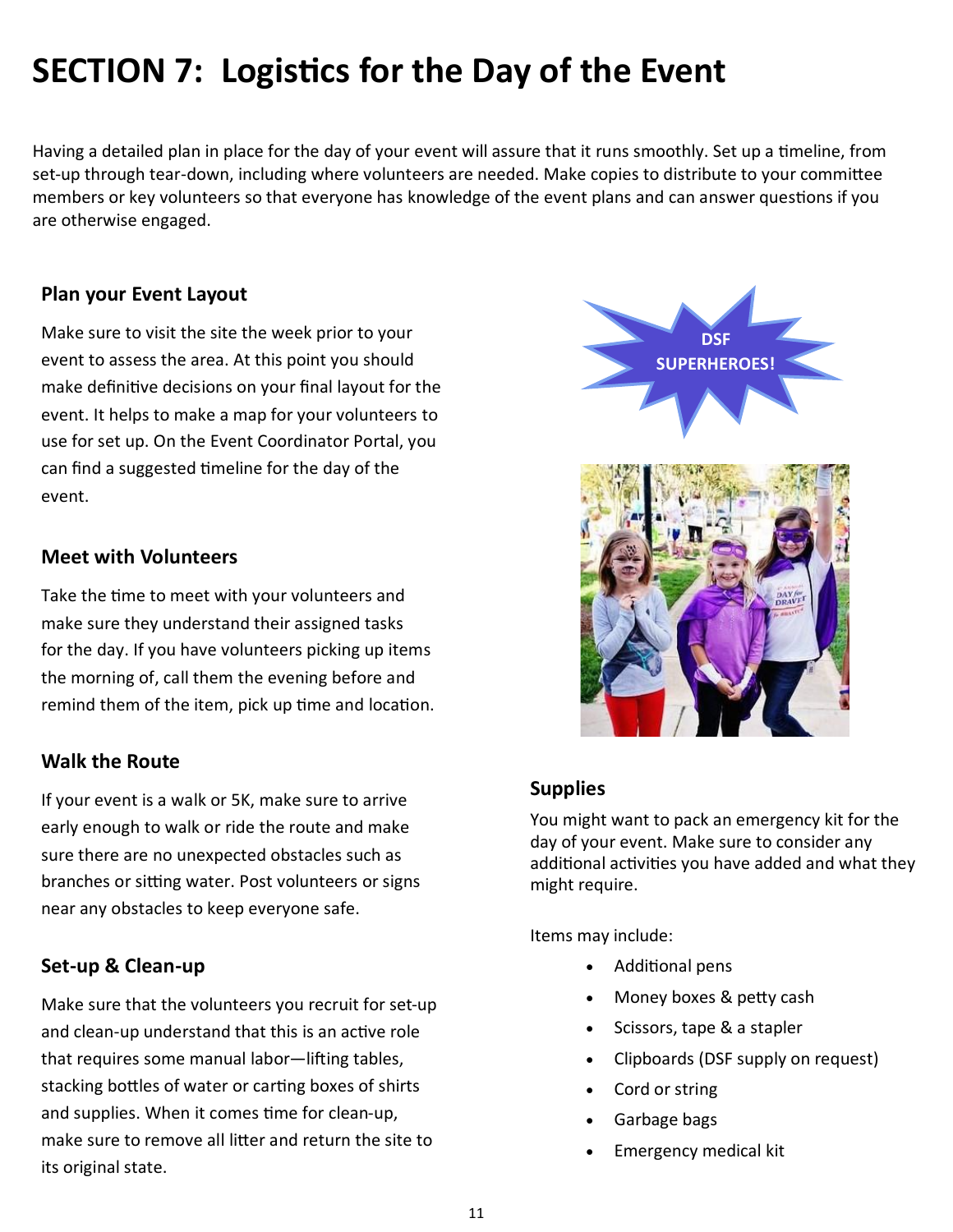## **SECTION 7: Logistics for the Day of the Event**

Having a detailed plan in place for the day of your event will assure that it runs smoothly. Set up a timeline, from set-up through tear-down, including where volunteers are needed. Make copies to distribute to your committee members or key volunteers so that everyone has knowledge of the event plans and can answer questions if you are otherwise engaged.

### **Plan your Event Layout**

Make sure to visit the site the week prior to your event to assess the area. At this point you should make definitive decisions on your final layout for the event. It helps to make a map for your volunteers to use for set up. On the Event Coordinator Portal, you can find a suggested timeline for the day of the event.

### **Meet with Volunteers**

Take the time to meet with your volunteers and make sure they understand their assigned tasks for the day. If you have volunteers picking up items the morning of, call them the evening before and remind them of the item, pick up time and location.

### **Walk the Route**

If your event is a walk or 5K, make sure to arrive early enough to walk or ride the route and make sure there are no unexpected obstacles such as branches or sitting water. Post volunteers or signs near any obstacles to keep everyone safe.

### **Set-up & Clean-up**

Make sure that the volunteers you recruit for set-up and clean-up understand that this is an active role that requires some manual labor—lifting tables, stacking bottles of water or carting boxes of shirts and supplies. When it comes time for clean-up, make sure to remove all litter and return the site to its original state.



### **Supplies**

You might want to pack an emergency kit for the day of your event. Make sure to consider any additional activities you have added and what they might require.

Items may include:

- Additional pens
- Money boxes & petty cash
- Scissors, tape & a stapler
- Clipboards (DSF supply on request)
- Cord or string
- Garbage bags
- Emergency medical kit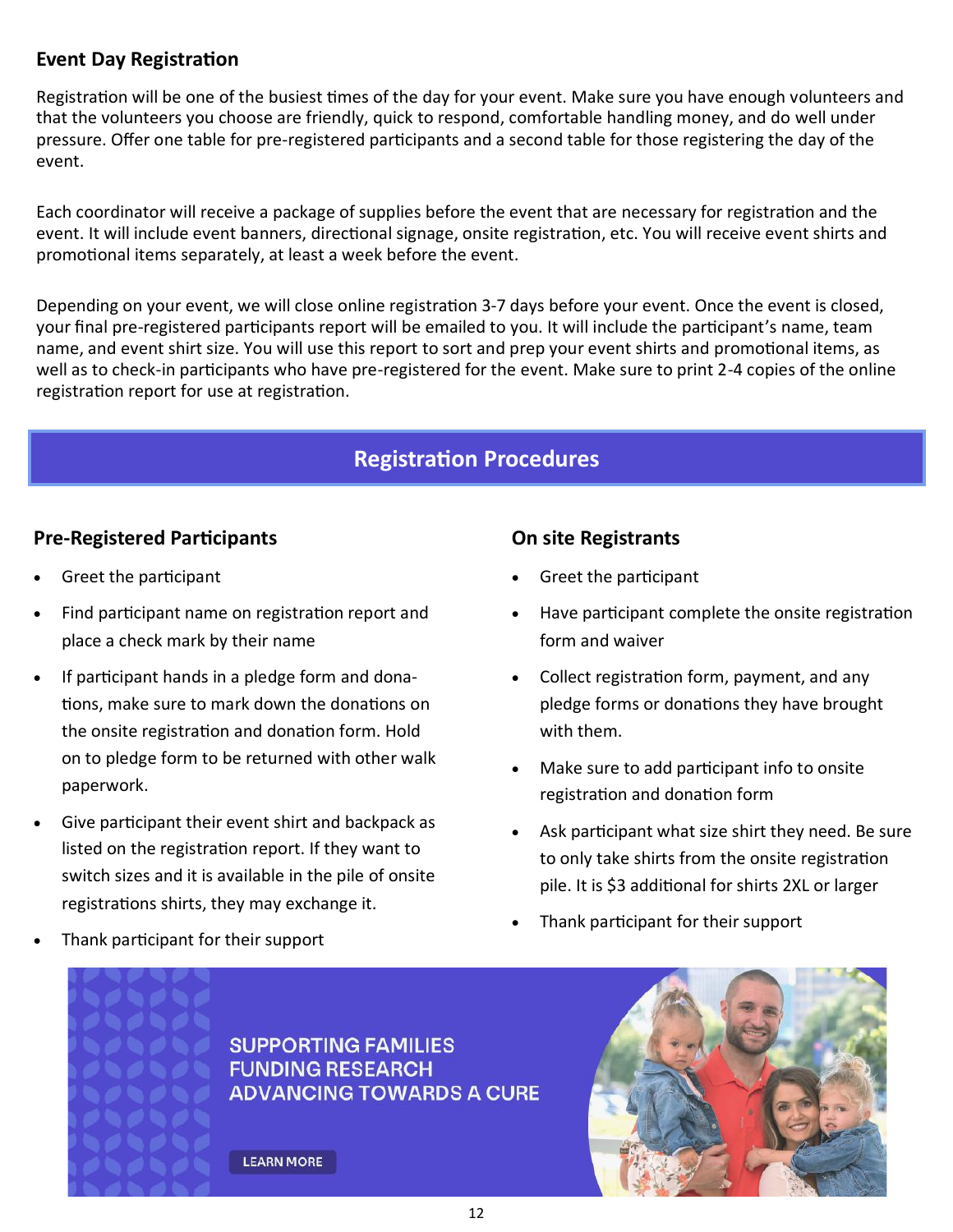### **Event Day Registration**

Registration will be one of the busiest times of the day for your event. Make sure you have enough volunteers and that the volunteers you choose are friendly, quick to respond, comfortable handling money, and do well under pressure. Offer one table for pre-registered participants and a second table for those registering the day of the event.

Each coordinator will receive a package of supplies before the event that are necessary for registration and the event. It will include event banners, directional signage, onsite registration, etc. You will receive event shirts and promotional items separately, at least a week before the event.

Depending on your event, we will close online registration 3-7 days before your event. Once the event is closed, your final pre-registered participants report will be emailed to you. It will include the participant's name, team name, and event shirt size. You will use this report to sort and prep your event shirts and promotional items, as well as to check-in participants who have pre-registered for the event. Make sure to print 2-4 copies of the online registration report for use at registration.

### **Registration Procedures**

### **Pre-Registered Participants**

- Greet the participant
- Find participant name on registration report and place a check mark by their name
- If participant hands in a pledge form and donations, make sure to mark down the donations on the onsite registration and donation form. Hold on to pledge form to be returned with other walk paperwork.
- Give participant their event shirt and backpack as listed on the registration report. If they want to switch sizes and it is available in the pile of onsite registrations shirts, they may exchange it.

## **On site Registrants**

- Greet the participant
- Have participant complete the onsite registration form and waiver
- Collect registration form, payment, and any pledge forms or donations they have brought with them.
- Make sure to add participant info to onsite registration and donation form
- Ask participant what size shirt they need. Be sure to only take shirts from the onsite registration pile. It is \$3 additional for shirts 2XL or larger
- Thank participant for their support

• Thank participant for their support

**SON** 

 $\bullet$   $\bullet$ 

 $\bullet$   $\bullet$   $\bullet$ 

**SUPPORTING FAMILIES FUNDING RESEARCH ADVANCING TOWARDS A CURE** 

**LEARN MORE** 

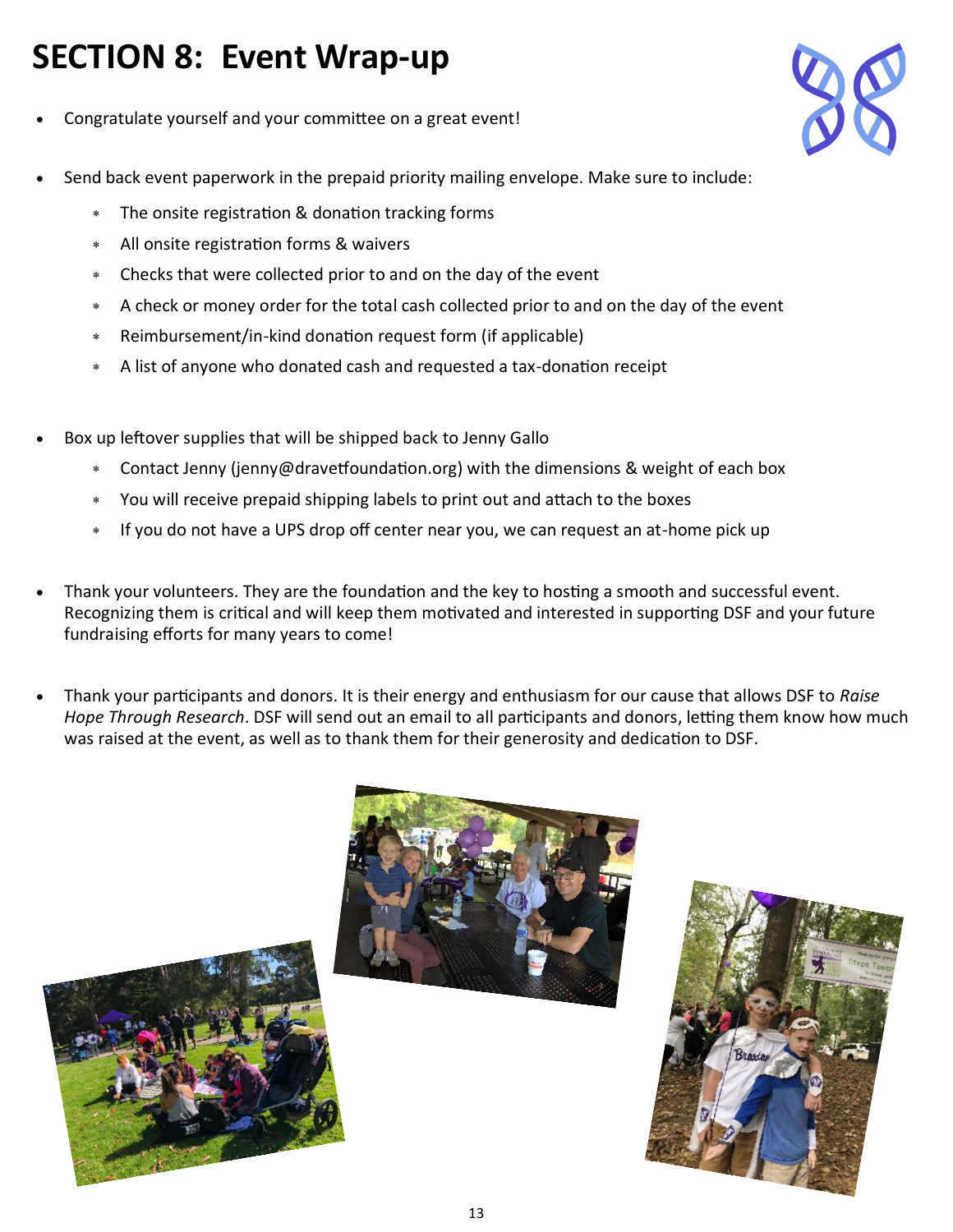## **SECTION 8: Event Wrap-up**

- Congratulate yourself and your committee on a great event!
- Send back event paperwork in the prepaid priority mailing envelope. Make sure to include:
	- The onsite registration & donation tracking forms
	- All onsite registration forms & waivers
	- Checks that were collected prior to and on the day of the event
	- A check or money order for the total cash collected prior to and on the day of the event
	- Reimbursement/in-kind donation request form (if applicable)
	- A list of anyone who donated cash and requested a tax-donation receipt
- Box up leftover supplies that will be shipped back to Jenny Gallo
	- Contact Jenny (jenny@dravetfoundation.org) with the dimensions & weight of each box
	- You will receive prepaid shipping labels to print out and attach to the boxes
	- If you do not have a UPS drop off center near you, we can request an at-home pick up
- Thank your volunteers. They are the foundation and the key to hosting a smooth and successful event. Recognizing them is critical and will keep them motivated and interested in supporting DSF and your future fundraising efforts for many years to come!
- Thank your participants and donors. It is their energy and enthusiasm for our cause that allows DSF to *Raise Hope Through Research*. DSF will send out an email to all participants and donors, letting them know how much was raised at the event, as well as to thank them for their generosity and dedication to DSF.